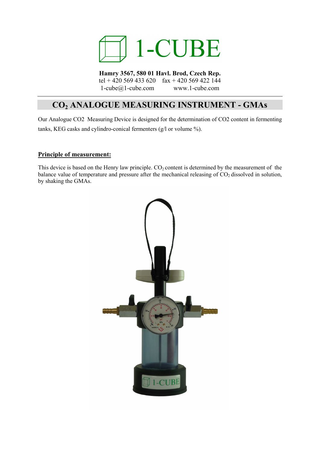

**Hamry 3567, 580 01 Havl. Brod, Czech Rep.** tel + 420 569 433 620 fax + 420 569 422 144 1-cube@1-cube.com www.1-cube.com

# **CO2 ANALOGUE MEASURING INSTRUMENT - GMAs**

Our Analogue CO2 Measuring Device is designed for the determination of CO2 content in fermenting tanks, KEG casks and cylindro-conical fermenters (g/l or volume %).

#### **Principle of measurement:**

This device is based on the Henry law principle.  $CO<sub>2</sub>$  content is determined by the measurement of the balance value of temperature and pressure after the mechanical releasing of  $CO<sub>2</sub>$  dissolved in solution, by shaking the GMAs.